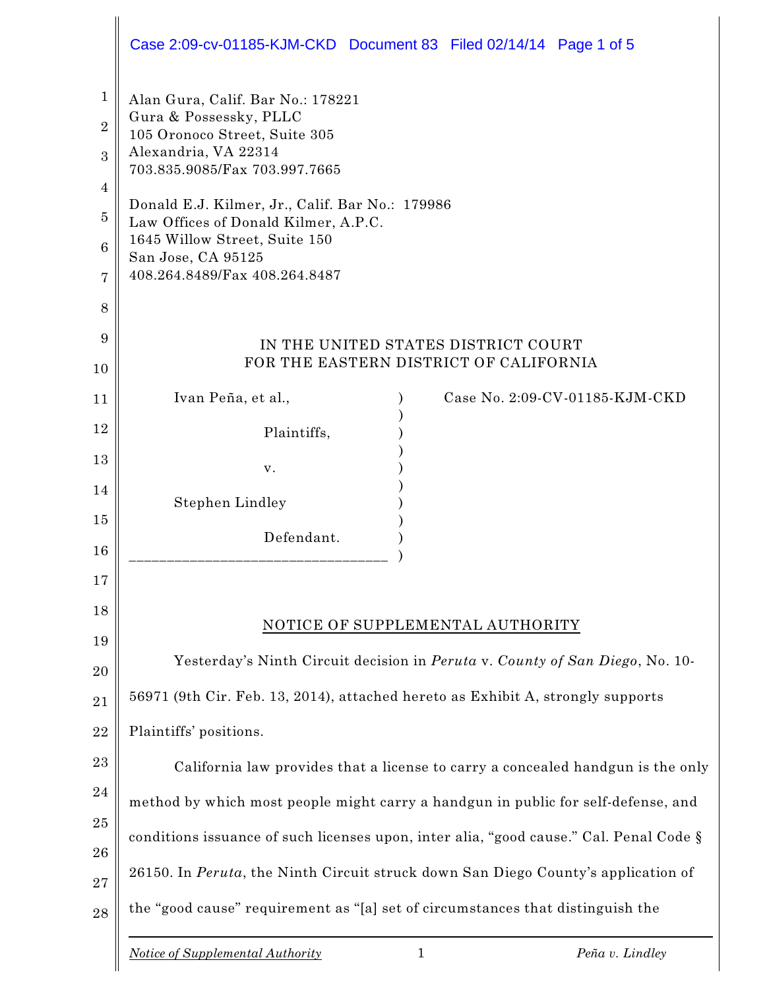|                               | Case 2:09-cv-01185-KJM-CKD Document 83 Filed 02/14/14 Page 1 of 5                                                                                     |  |  |  |
|-------------------------------|-------------------------------------------------------------------------------------------------------------------------------------------------------|--|--|--|
| $\mathbf 1$<br>$\overline{2}$ | Alan Gura, Calif. Bar No.: 178221<br>Gura & Possessky, PLLC<br>105 Oronoco Street, Suite 305<br>Alexandria, VA 22314<br>703.835.9085/Fax 703.997.7665 |  |  |  |
| 3                             |                                                                                                                                                       |  |  |  |
| 4                             |                                                                                                                                                       |  |  |  |
| $\overline{5}$                | Donald E.J. Kilmer, Jr., Calif. Bar No.: 179986                                                                                                       |  |  |  |
| 6                             | Law Offices of Donald Kilmer, A.P.C.<br>1645 Willow Street, Suite 150<br>San Jose, CA 95125<br>408.264.8489/Fax 408.264.8487                          |  |  |  |
| 7                             |                                                                                                                                                       |  |  |  |
| 8                             |                                                                                                                                                       |  |  |  |
| 9                             | IN THE UNITED STATES DISTRICT COURT                                                                                                                   |  |  |  |
| 10                            | FOR THE EASTERN DISTRICT OF CALIFORNIA                                                                                                                |  |  |  |
| 11                            | Case No. 2:09-CV-01185-KJM-CKD<br>Ivan Peña, et al.,                                                                                                  |  |  |  |
| 12                            | Plaintiffs,                                                                                                                                           |  |  |  |
| 13                            | v.                                                                                                                                                    |  |  |  |
| 14                            | Stephen Lindley                                                                                                                                       |  |  |  |
| 15                            |                                                                                                                                                       |  |  |  |
| 16                            | Defendant.                                                                                                                                            |  |  |  |
| 17                            |                                                                                                                                                       |  |  |  |
| 18                            | NOTICE OF SUPPLEMENTAL AUTHORITY                                                                                                                      |  |  |  |
| 19                            | Yesterday's Ninth Circuit decision in Peruta v. County of San Diego, No. 10-                                                                          |  |  |  |
| 20                            |                                                                                                                                                       |  |  |  |
| 21                            | 56971 (9th Cir. Feb. 13, 2014), attached hereto as Exhibit A, strongly supports                                                                       |  |  |  |
| 22                            | Plaintiffs' positions.                                                                                                                                |  |  |  |
| 23                            | California law provides that a license to carry a concealed handgun is the only                                                                       |  |  |  |
| 24                            | method by which most people might carry a handgun in public for self-defense, and                                                                     |  |  |  |
| 25                            | conditions issuance of such licenses upon, inter alia, "good cause." Cal. Penal Code §                                                                |  |  |  |
| 26                            | 26150. In Peruta, the Ninth Circuit struck down San Diego County's application of                                                                     |  |  |  |
| 27<br>28                      | the "good cause" requirement as "[a] set of circumstances that distinguish the                                                                        |  |  |  |
|                               | $\mathbf{1}$<br><b>Notice of Supplemental Authority</b><br>Peña v. Lindley                                                                            |  |  |  |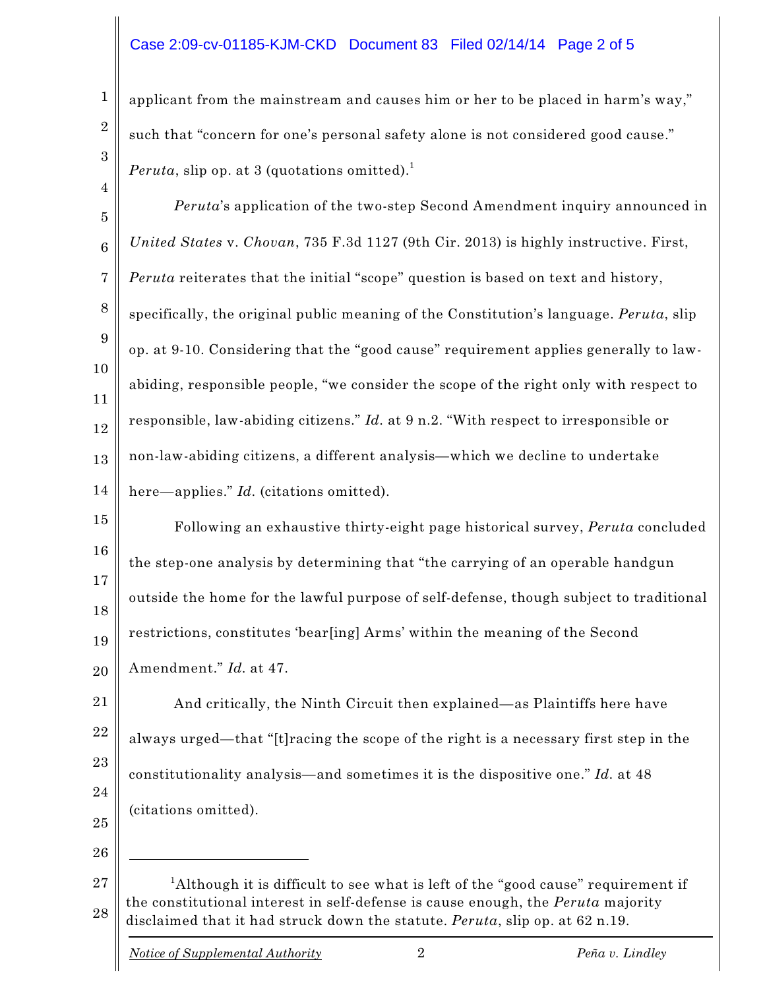## Case 2:09-cv-01185-KJM-CKD Document 83 Filed 02/14/14 Page 2 of 5

applicant from the mainstream and causes him or her to be placed in harm's way," such that "concern for one's personal safety alone is not considered good cause." *Peruta*, slip op. at 3 (quotations omitted). 1

5 6 7 8 9 10 11 12 13 14 *Peruta*'s application of the two-step Second Amendment inquiry announced in *United States* v. *Chovan*, 735 F.3d 1127 (9th Cir. 2013) is highly instructive. First, *Peruta* reiterates that the initial "scope" question is based on text and history, specifically, the original public meaning of the Constitution's language. *Peruta*, slip op. at 9-10. Considering that the "good cause" requirement applies generally to lawabiding, responsible people, "we consider the scope of the right only with respect to responsible, law-abiding citizens." *Id.* at 9 n.2. "With respect to irresponsible or non-law-abiding citizens, a different analysis—which we decline to undertake here—applies." *Id.* (citations omitted).

15 16 17 18 19 20 Following an exhaustive thirty-eight page historical survey, *Peruta* concluded the step-one analysis by determining that "the carrying of an operable handgun outside the home for the lawful purpose of self-defense, though subject to traditional restrictions, constitutes 'bear[ing] Arms' within the meaning of the Second Amendment." *Id.* at 47.

21 22 23 24 25 And critically, the Ninth Circuit then explained—as Plaintiffs here have always urged—that "[t]racing the scope of the right is a necessary first step in the constitutionality analysis—and sometimes it is the dispositive one." *Id.* at 48 (citations omitted).

26

1

2

3

4

27 28 <sup>1</sup>Although it is difficult to see what is left of the "good cause" requirement if the constitutional interest in self-defense is cause enough, the *Peruta* majority disclaimed that it had struck down the statute. *Peruta*, slip op. at 62 n.19.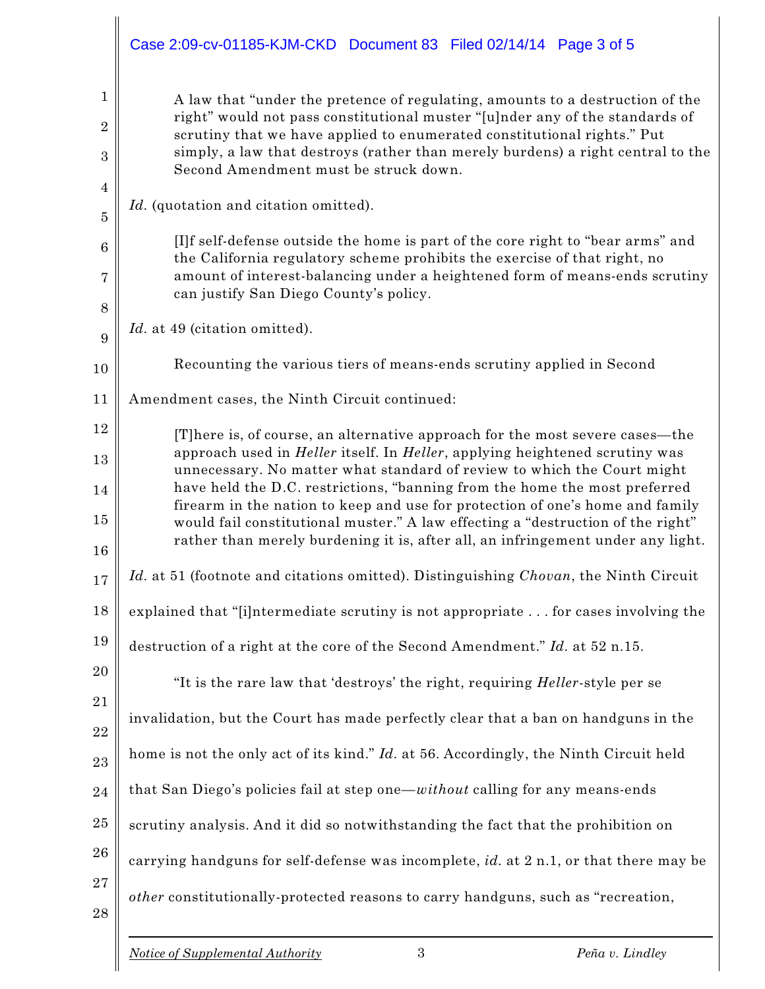|                                            | Case 2:09-cv-01185-KJM-CKD Document 83 Filed 02/14/14 Page 3 of 5                                                                                                                                                                                                                                                                                                                                                                                                                                          |  |  |
|--------------------------------------------|------------------------------------------------------------------------------------------------------------------------------------------------------------------------------------------------------------------------------------------------------------------------------------------------------------------------------------------------------------------------------------------------------------------------------------------------------------------------------------------------------------|--|--|
| 1<br>$\overline{2}$<br>3<br>$\overline{4}$ | A law that "under the pretence of regulating, amounts to a destruction of the<br>right" would not pass constitutional muster "[u]nder any of the standards of<br>scrutiny that we have applied to enumerated constitutional rights." Put<br>simply, a law that destroys (rather than merely burdens) a right central to the<br>Second Amendment must be struck down.                                                                                                                                       |  |  |
| 5                                          | Id. (quotation and citation omitted).                                                                                                                                                                                                                                                                                                                                                                                                                                                                      |  |  |
| $6\phantom{1}6$                            | [I]f self-defense outside the home is part of the core right to "bear arms" and<br>the California regulatory scheme prohibits the exercise of that right, no                                                                                                                                                                                                                                                                                                                                               |  |  |
| 7<br>8                                     | amount of interest-balancing under a heightened form of means-ends scrutiny<br>can justify San Diego County's policy.                                                                                                                                                                                                                                                                                                                                                                                      |  |  |
| 9                                          | Id. at 49 (citation omitted).                                                                                                                                                                                                                                                                                                                                                                                                                                                                              |  |  |
| 10                                         | Recounting the various tiers of means-ends scrutiny applied in Second                                                                                                                                                                                                                                                                                                                                                                                                                                      |  |  |
| 11                                         | Amendment cases, the Ninth Circuit continued:                                                                                                                                                                                                                                                                                                                                                                                                                                                              |  |  |
| 12                                         | [T] here is, of course, an alternative approach for the most severe cases—the                                                                                                                                                                                                                                                                                                                                                                                                                              |  |  |
| 13                                         | approach used in <i>Heller</i> itself. In <i>Heller</i> , applying heightened scrutiny was<br>unnecessary. No matter what standard of review to which the Court might<br>have held the D.C. restrictions, "banning from the home the most preferred<br>firearm in the nation to keep and use for protection of one's home and family<br>would fail constitutional muster." A law effecting a "destruction of the right"<br>rather than merely burdening it is, after all, an infringement under any light. |  |  |
| 14<br>15<br>16                             |                                                                                                                                                                                                                                                                                                                                                                                                                                                                                                            |  |  |
| 17                                         | Id. at 51 (footnote and citations omitted). Distinguishing Chovan, the Ninth Circuit                                                                                                                                                                                                                                                                                                                                                                                                                       |  |  |
| 18                                         | explained that "[i]ntermediate scrutiny is not appropriate  for cases involving the                                                                                                                                                                                                                                                                                                                                                                                                                        |  |  |
| 19                                         | destruction of a right at the core of the Second Amendment." Id. at 52 n.15.                                                                                                                                                                                                                                                                                                                                                                                                                               |  |  |
| 20                                         | "It is the rare law that 'destroys' the right, requiring <i>Heller</i> -style per se                                                                                                                                                                                                                                                                                                                                                                                                                       |  |  |
| 21<br>22                                   | invalidation, but the Court has made perfectly clear that a ban on handguns in the                                                                                                                                                                                                                                                                                                                                                                                                                         |  |  |
| 23                                         | home is not the only act of its kind." Id. at 56. Accordingly, the Ninth Circuit held                                                                                                                                                                                                                                                                                                                                                                                                                      |  |  |
| 24                                         | that San Diego's policies fail at step one—without calling for any means-ends                                                                                                                                                                                                                                                                                                                                                                                                                              |  |  |
| 25                                         | scrutiny analysis. And it did so notwithstanding the fact that the prohibition on                                                                                                                                                                                                                                                                                                                                                                                                                          |  |  |
| 26                                         | carrying handguns for self-defense was incomplete, id. at 2 n.1, or that there may be                                                                                                                                                                                                                                                                                                                                                                                                                      |  |  |
| 27<br>28                                   | other constitutionally-protected reasons to carry handguns, such as "recreation,                                                                                                                                                                                                                                                                                                                                                                                                                           |  |  |
|                                            |                                                                                                                                                                                                                                                                                                                                                                                                                                                                                                            |  |  |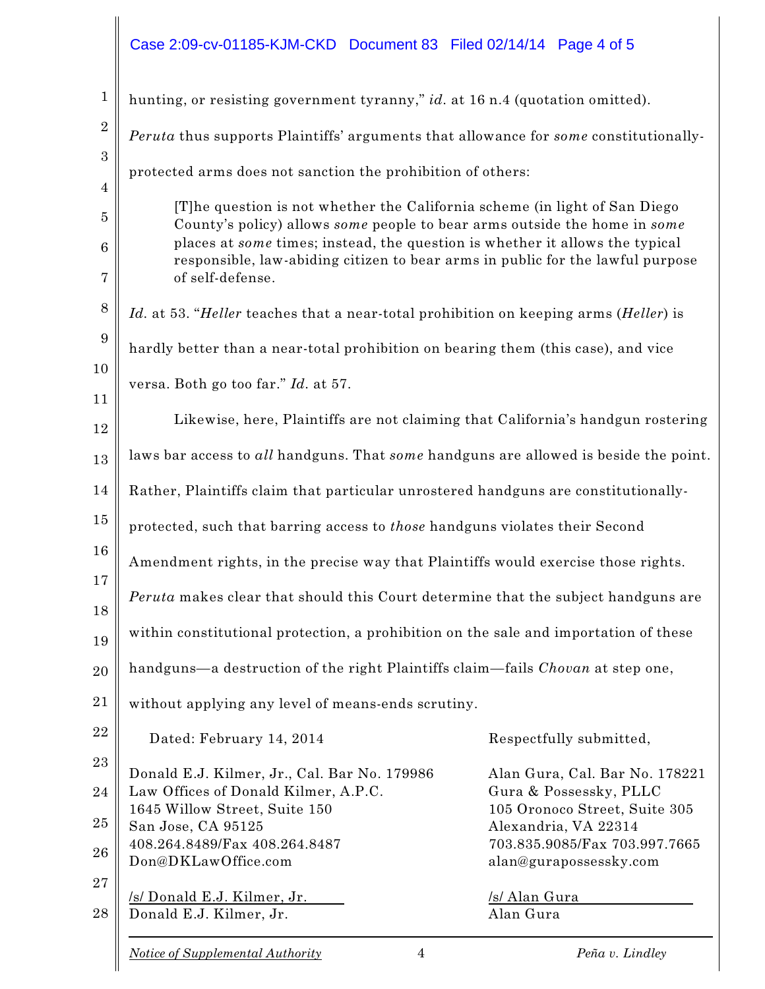## Case 2:09-cv-01185-KJM-CKD Document 83 Filed 02/14/14 Page 4 of 5

| $\mathbf{1}$     | hunting, or resisting government tyranny," id. at 16 n.4 (quotation omitted).                                                                            |                                                       |  |
|------------------|----------------------------------------------------------------------------------------------------------------------------------------------------------|-------------------------------------------------------|--|
| $\boldsymbol{2}$ | Peruta thus supports Plaintiffs' arguments that allowance for some constitutionally-                                                                     |                                                       |  |
| $\boldsymbol{3}$ | protected arms does not sanction the prohibition of others:                                                                                              |                                                       |  |
| $\overline{4}$   |                                                                                                                                                          |                                                       |  |
| $\bf 5$          | [T] he question is not whether the California scheme (in light of San Diego<br>County's policy) allows some people to bear arms outside the home in some |                                                       |  |
| 6                | places at some times; instead, the question is whether it allows the typical                                                                             |                                                       |  |
| 7                | responsible, law-abiding citizen to bear arms in public for the lawful purpose<br>of self-defense.                                                       |                                                       |  |
| 8                | Id. at 53. "Heller teaches that a near-total prohibition on keeping arms (Heller) is                                                                     |                                                       |  |
| 9                | hardly better than a near-total prohibition on bearing them (this case), and vice                                                                        |                                                       |  |
| 10               | versa. Both go too far." Id. at 57.                                                                                                                      |                                                       |  |
| 11               |                                                                                                                                                          |                                                       |  |
| 12               | Likewise, here, Plaintiffs are not claiming that California's handgun rostering                                                                          |                                                       |  |
| 13               | laws bar access to all handguns. That some handguns are allowed is beside the point.                                                                     |                                                       |  |
| 14               | Rather, Plaintiffs claim that particular unrostered handguns are constitutionally-                                                                       |                                                       |  |
| 15               | protected, such that barring access to those handguns violates their Second                                                                              |                                                       |  |
| 16               | Amendment rights, in the precise way that Plaintiffs would exercise those rights.                                                                        |                                                       |  |
| 17<br>18         | <i>Peruta</i> makes clear that should this Court determine that the subject handguns are                                                                 |                                                       |  |
| 19               | within constitutional protection, a prohibition on the sale and importation of these                                                                     |                                                       |  |
| 20               | handguns—a destruction of the right Plaintiffs claim—fails Chovan at step one,                                                                           |                                                       |  |
| 21               | without applying any level of means-ends scrutiny.                                                                                                       |                                                       |  |
| 22               | Dated: February 14, 2014                                                                                                                                 | Respectfully submitted,                               |  |
| 23               | Donald E.J. Kilmer, Jr., Cal. Bar No. 179986                                                                                                             | Alan Gura, Cal. Bar No. 178221                        |  |
| 24               | Law Offices of Donald Kilmer, A.P.C.                                                                                                                     | Gura & Possessky, PLLC                                |  |
| 25               | 1645 Willow Street, Suite 150                                                                                                                            | 105 Oronoco Street, Suite 305                         |  |
|                  | San Jose, CA 95125<br>408.264.8489/Fax 408.264.8487                                                                                                      | Alexandria, VA 22314<br>703.835.9085/Fax 703.997.7665 |  |
| 26               | Don@DKLawOffice.com                                                                                                                                      | alan@gurapossessky.com                                |  |
| 27               | /s/ Donald E.J. Kilmer, Jr.                                                                                                                              | /s/ Alan Gura                                         |  |
| 28               | Donald E.J. Kilmer, Jr.                                                                                                                                  | Alan Gura                                             |  |
|                  |                                                                                                                                                          |                                                       |  |

 $\parallel$